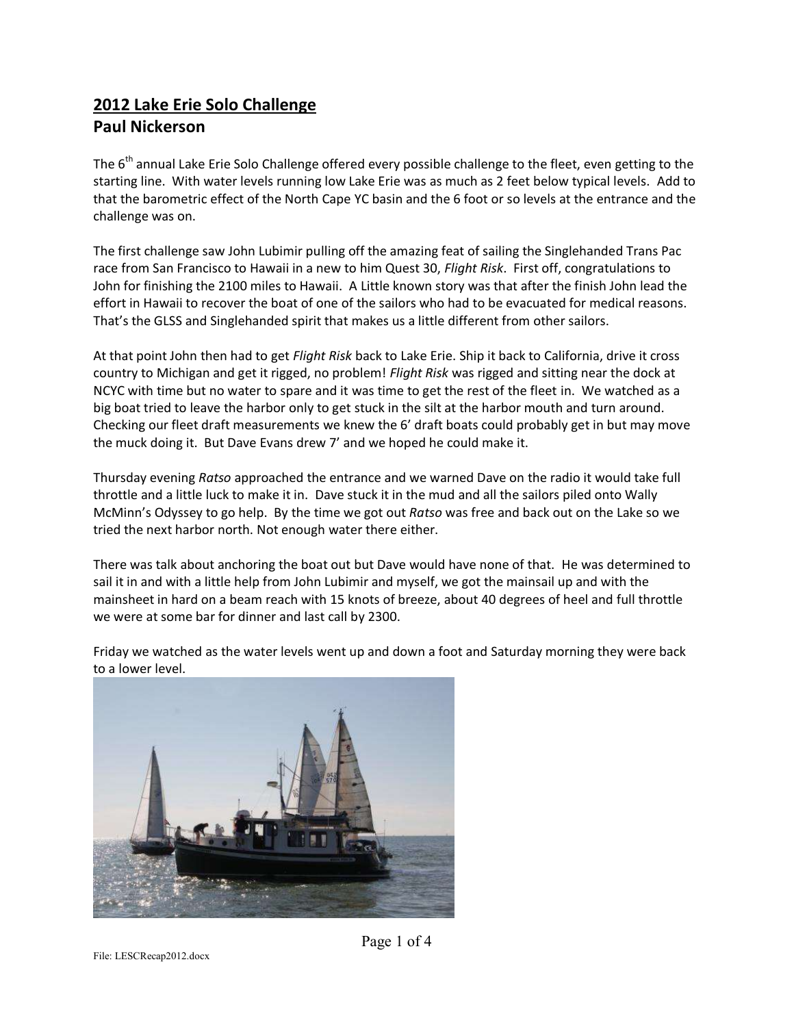## **2012 Lake Erie Solo Challenge Paul Nickerson**

The 6<sup>th</sup> annual Lake Erie Solo Challenge offered every possible challenge to the fleet, even getting to the starting line. With water levels running low Lake Erie was as much as 2 feet below typical levels. Add to that the barometric effect of the North Cape YC basin and the 6 foot or so levels at the entrance and the challenge was on.

The first challenge saw John Lubimir pulling off the amazing feat of sailing the Singlehanded Trans Pac race from San Francisco to Hawaii in a new to him Quest 30, *Flight Risk*. First off, congratulations to John for finishing the 2100 miles to Hawaii. A Little known story was that after the finish John lead the effort in Hawaii to recover the boat of one of the sailors who had to be evacuated for medical reasons. That's the GLSS and Singlehanded spirit that makes us a little different from other sailors.

At that point John then had to get *Flight Risk* back to Lake Erie. Ship it back to California, drive it cross country to Michigan and get it rigged, no problem! *Flight Risk* was rigged and sitting near the dock at NCYC with time but no water to spare and it was time to get the rest of the fleet in. We watched as a big boat tried to leave the harbor only to get stuck in the silt at the harbor mouth and turn around. Checking our fleet draft measurements we knew the 6' draft boats could probably get in but may move the muck doing it. But Dave Evans drew 7' and we hoped he could make it.

Thursday evening *Ratso* approached the entrance and we warned Dave on the radio it would take full throttle and a little luck to make it in. Dave stuck it in the mud and all the sailors piled onto Wally McMinn's Odyssey to go help. By the time we got out *Ratso* was free and back out on the Lake so we tried the next harbor north. Not enough water there either.

There was talk about anchoring the boat out but Dave would have none of that. He was determined to sail it in and with a little help from John Lubimir and myself, we got the mainsail up and with the mainsheet in hard on a beam reach with 15 knots of breeze, about 40 degrees of heel and full throttle we were at some bar for dinner and last call by 2300.

Friday we watched as the water levels went up and down a foot and Saturday morning they were back to a lower level.

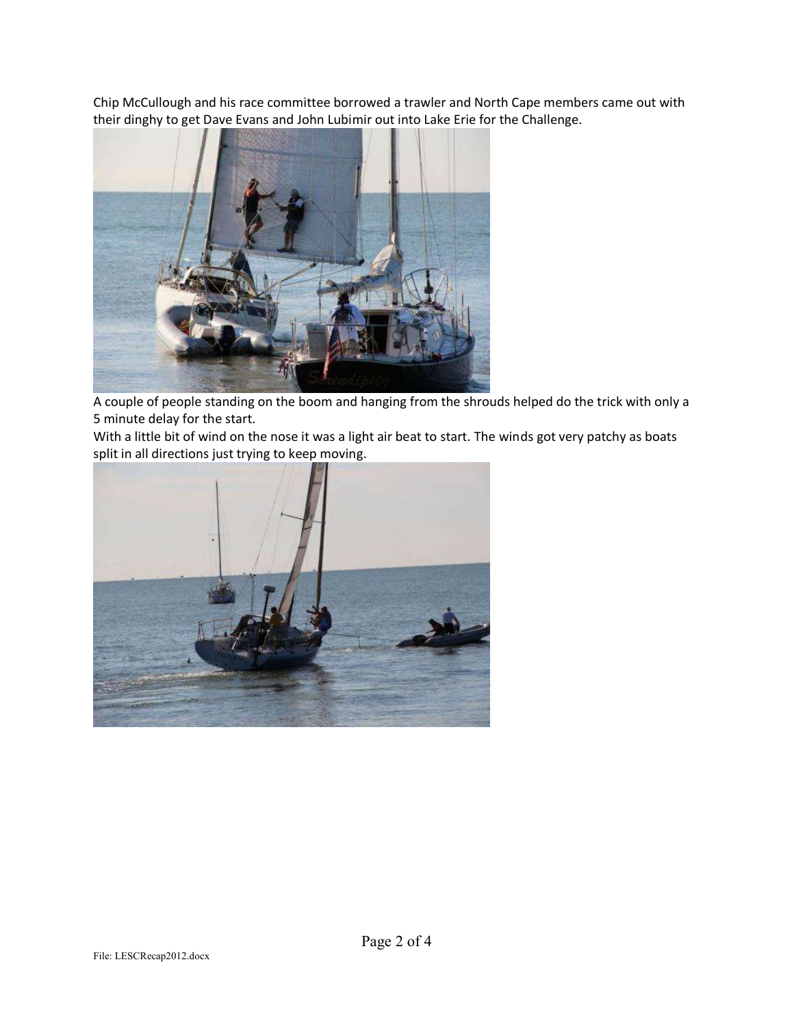Chip McCullough and his race committee borrowed a trawler and North Cape members came out with their dinghy to get Dave Evans and John Lubimir out into Lake Erie for the Challenge.



A couple of people standing on the boom and hanging from the shrouds helped do the trick with only a 5 minute delay for the start.

With a little bit of wind on the nose it was a light air beat to start. The winds got very patchy as boats split in all directions just trying to keep moving.

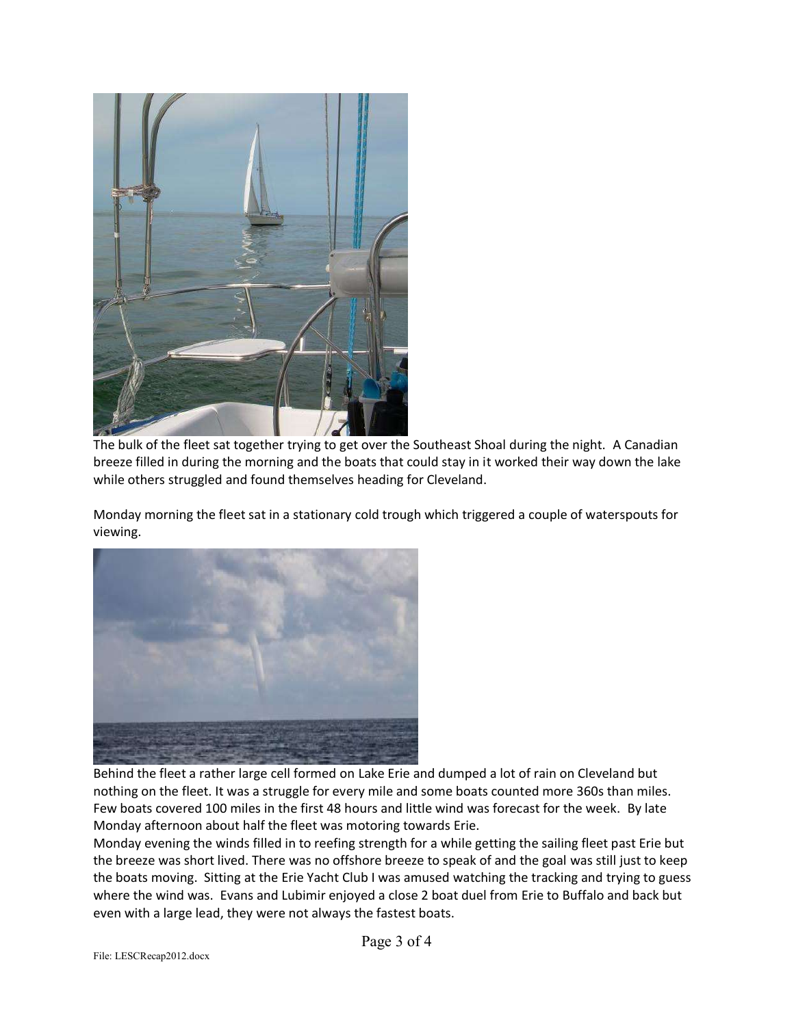

The bulk of the fleet sat together trying to get over the Southeast Shoal during the night. A Canadian breeze filled in during the morning and the boats that could stay in it worked their way down the lake while others struggled and found themselves heading for Cleveland.

Monday morning the fleet sat in a stationary cold trough which triggered a couple of waterspouts for viewing.



Behind the fleet a rather large cell formed on Lake Erie and dumped a lot of rain on Cleveland but nothing on the fleet. It was a struggle for every mile and some boats counted more 360s than miles. Few boats covered 100 miles in the first 48 hours and little wind was forecast for the week. By late Monday afternoon about half the fleet was motoring towards Erie.

Monday evening the winds filled in to reefing strength for a while getting the sailing fleet past Erie but the breeze was short lived. There was no offshore breeze to speak of and the goal was still just to keep the boats moving. Sitting at the Erie Yacht Club I was amused watching the tracking and trying to guess where the wind was. Evans and Lubimir enjoyed a close 2 boat duel from Erie to Buffalo and back but even with a large lead, they were not always the fastest boats.